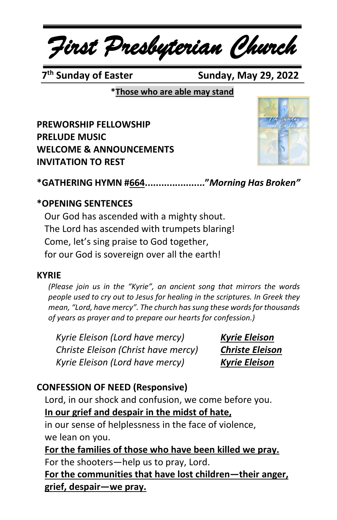# *First Presbyterian Church*

7<sup>th</sup> Sunday of Easter

**Sunday, May 29, 2022** 

**\*Those who are able may stand**

**PREWORSHIP FELLOWSHIP PRELUDE MUSIC WELCOME & ANNOUNCEMENTS INVITATION TO REST**



**\*GATHERING HYMN #664......................"***Morning Has Broken"*

#### **\*OPENING SENTENCES**

Our God has ascended with a mighty shout. The Lord has ascended with trumpets blaring! Come, let's sing praise to God together, for our God is sovereign over all the earth!

#### **KYRIE**

*(Please join us in the "Kyrie", an ancient song that mirrors the words people used to cry out to Jesus for healing in the scriptures. In Greek they mean, "Lord, have mercy". The church has sung these words for thousands of years as prayer and to prepare our hearts for confession.)*

*Kyrie Eleison (Lord have mercy) Kyrie Eleison Christe Eleison (Christ have mercy) Christe Eleison Kyrie Eleison (Lord have mercy) Kyrie Eleison*

## **CONFESSION OF NEED (Responsive)**

Lord, in our shock and confusion, we come before you.

**In our grief and despair in the midst of hate,**

in our sense of helplessness in the face of violence, we lean on you.

**For the families of those who have been killed we pray.** For the shooters—help us to pray, Lord.

**For the communities that have lost children—their anger, grief, despair—we pray.**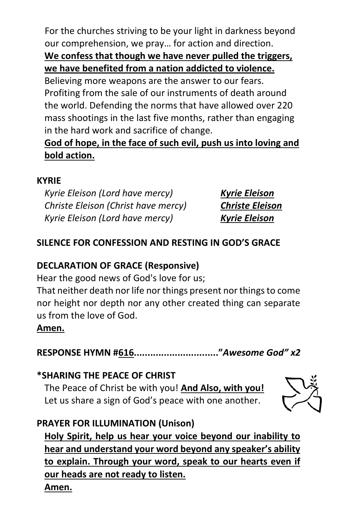For the churches striving to be your light in darkness beyond our comprehension, we pray… for action and direction.

## **We confess that though we have never pulled the triggers, we have benefited from a nation addicted to violence.**

Believing more weapons are the answer to our fears. Profiting from the sale of our instruments of death around the world. Defending the norms that have allowed over 220 mass shootings in the last five months, rather than engaging in the hard work and sacrifice of change.

# **God of hope, in the face of such evil, push us into loving and bold action.**

#### **KYRIE**

*Kyrie Eleison (Lord have mercy) Kyrie Eleison Christe Eleison (Christ have mercy) Christe Eleison Kyrie Eleison (Lord have mercy) Kyrie Eleison*

# **SILENCE FOR CONFESSION AND RESTING IN GOD'S GRACE**

## **DECLARATION OF GRACE (Responsive)**

Hear the good news of God's love for us;

That neither death nor life nor things present nor things to come nor height nor depth nor any other created thing can separate us from the love of God.

## **Amen.**

**RESPONSE HYMN #616..............................."***Awesome God" x2*

## **\*SHARING THE PEACE OF CHRIST**

The Peace of Christ be with you! **And Also, with you!** Let us share a sign of God's peace with one another.



## **PRAYER FOR ILLUMINATION (Unison)**

**Holy Spirit, help us hear your voice beyond our inability to hear and understand your word beyond any speaker's ability to explain. Through your word, speak to our hearts even if our heads are not ready to listen. Amen.**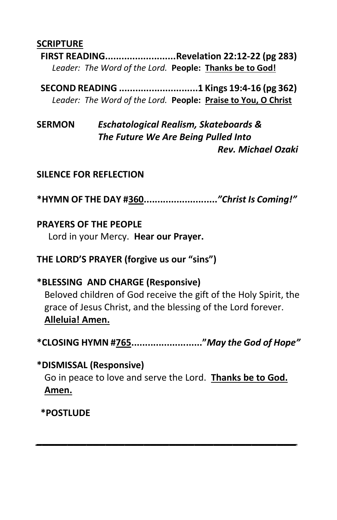#### **SCRIPTURE**

**FIRST READING..........................Revelation 22:12-22 (pg 283)** *Leader: The Word of the Lord.* **People: Thanks be to God!**

**SECOND READING .............................1 Kings 19:4-16 (pg 362)** *Leader: The Word of the Lord.* **People: Praise to You, O Christ**

**SERMON** *Eschatological Realism, Skateboards & The Future We Are Being Pulled Into Rev. Michael Ozaki*

#### **SILENCE FOR REFLECTION**

**\*HYMN OF THE DAY #360...........................***"Christ Is Coming!"*

#### **PRAYERS OF THE PEOPLE**

Lord in your Mercy. **Hear our Prayer.**

#### **THE LORD'S PRAYER (forgive us our "sins")**

#### **\*BLESSING AND CHARGE (Responsive)**

Beloved children of God receive the gift of the Holy Spirit, the grace of Jesus Christ, and the blessing of the Lord forever. **Alleluia! Amen.**

**\*CLOSING HYMN #765.........................."***May the God of Hope"*

 **\*DISMISSAL (Responsive)** Go in peace to love and serve the Lord. **Thanks be to God. Amen.**

*\_\_\_\_\_\_\_\_\_\_\_\_\_\_\_\_\_\_\_\_\_\_\_\_\_\_\_\_\_\_\_\_\_\_\_\_\_\_\_\_\_*

**\*POSTLUDE**